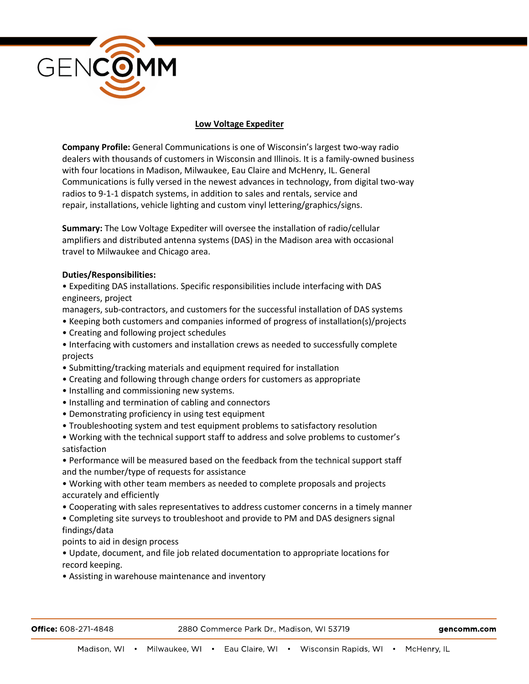

# **Low Voltage Expediter**

**Company Profile:** General Communications is one of Wisconsin's largest two-way radio dealers with thousands of customers in Wisconsin and Illinois. It is a family-owned business with four locations in Madison, Milwaukee, Eau Claire and McHenry, IL. General Communications is fully versed in the newest advances in technology, from digital two-way radios to 9-1-1 dispatch systems, in addition to sales and rentals, service and repair, installations, vehicle lighting and custom vinyl lettering/graphics/signs.

**Summary:** The Low Voltage Expediter will oversee the installation of radio/cellular amplifiers and distributed antenna systems (DAS) in the Madison area with occasional travel to Milwaukee and Chicago area.

### **Duties/Responsibilities:**

• Expediting DAS installations. Specific responsibilities include interfacing with DAS engineers, project

managers, sub-contractors, and customers for the successful installation of DAS systems

- Keeping both customers and companies informed of progress of installation(s)/projects
- Creating and following project schedules
- Interfacing with customers and installation crews as needed to successfully complete projects
- Submitting/tracking materials and equipment required for installation
- Creating and following through change orders for customers as appropriate
- Installing and commissioning new systems.
- Installing and termination of cabling and connectors
- Demonstrating proficiency in using test equipment
- Troubleshooting system and test equipment problems to satisfactory resolution
- Working with the technical support staff to address and solve problems to customer's satisfaction
- Performance will be measured based on the feedback from the technical support staff and the number/type of requests for assistance
- Working with other team members as needed to complete proposals and projects accurately and efficiently
- Cooperating with sales representatives to address customer concerns in a timely manner
- Completing site surveys to troubleshoot and provide to PM and DAS designers signal findings/data
- points to aid in design process

• Update, document, and file job related documentation to appropriate locations for record keeping.

• Assisting in warehouse maintenance and inventory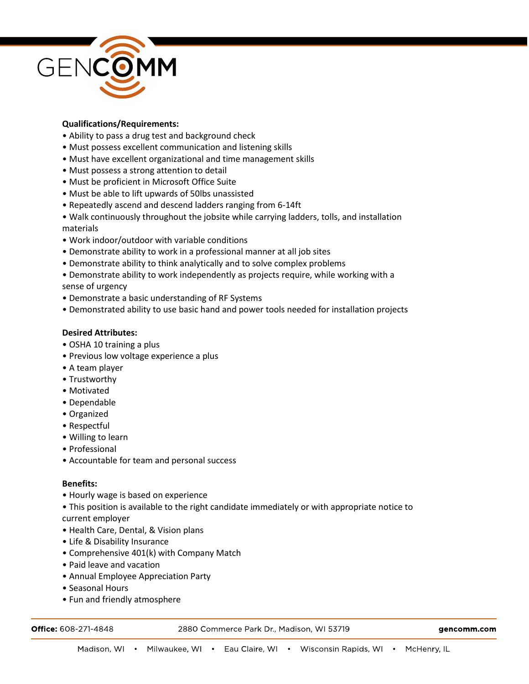

## **Qualifications/Requirements:**

- Ability to pass a drug test and background check
- Must possess excellent communication and listening skills
- Must have excellent organizational and time management skills
- Must possess a strong attention to detail
- Must be proficient in Microsoft Office Suite
- Must be able to lift upwards of 50lbs unassisted
- Repeatedly ascend and descend ladders ranging from 6-14ft
- Walk continuously throughout the jobsite while carrying ladders, tolls, and installation materials
- Work indoor/outdoor with variable conditions
- Demonstrate ability to work in a professional manner at all job sites
- Demonstrate ability to think analytically and to solve complex problems
- Demonstrate ability to work independently as projects require, while working with a sense of urgency
- Demonstrate a basic understanding of RF Systems
- Demonstrated ability to use basic hand and power tools needed for installation projects

### **Desired Attributes:**

- OSHA 10 training a plus
- Previous low voltage experience a plus
- A team player
- Trustworthy
- Motivated
- Dependable
- Organized
- Respectful
- Willing to learn
- Professional
- Accountable for team and personal success

### **Benefits:**

- Hourly wage is based on experience
- This position is available to the right candidate immediately or with appropriate notice to current employer
- Health Care, Dental, & Vision plans
- Life & Disability Insurance
- Comprehensive 401(k) with Company Match
- Paid leave and vacation
- Annual Employee Appreciation Party
- Seasonal Hours
- Fun and friendly atmosphere

Office: 608-271-4848

2880 Commerce Park Dr., Madison, WI 53719

gencomm.com